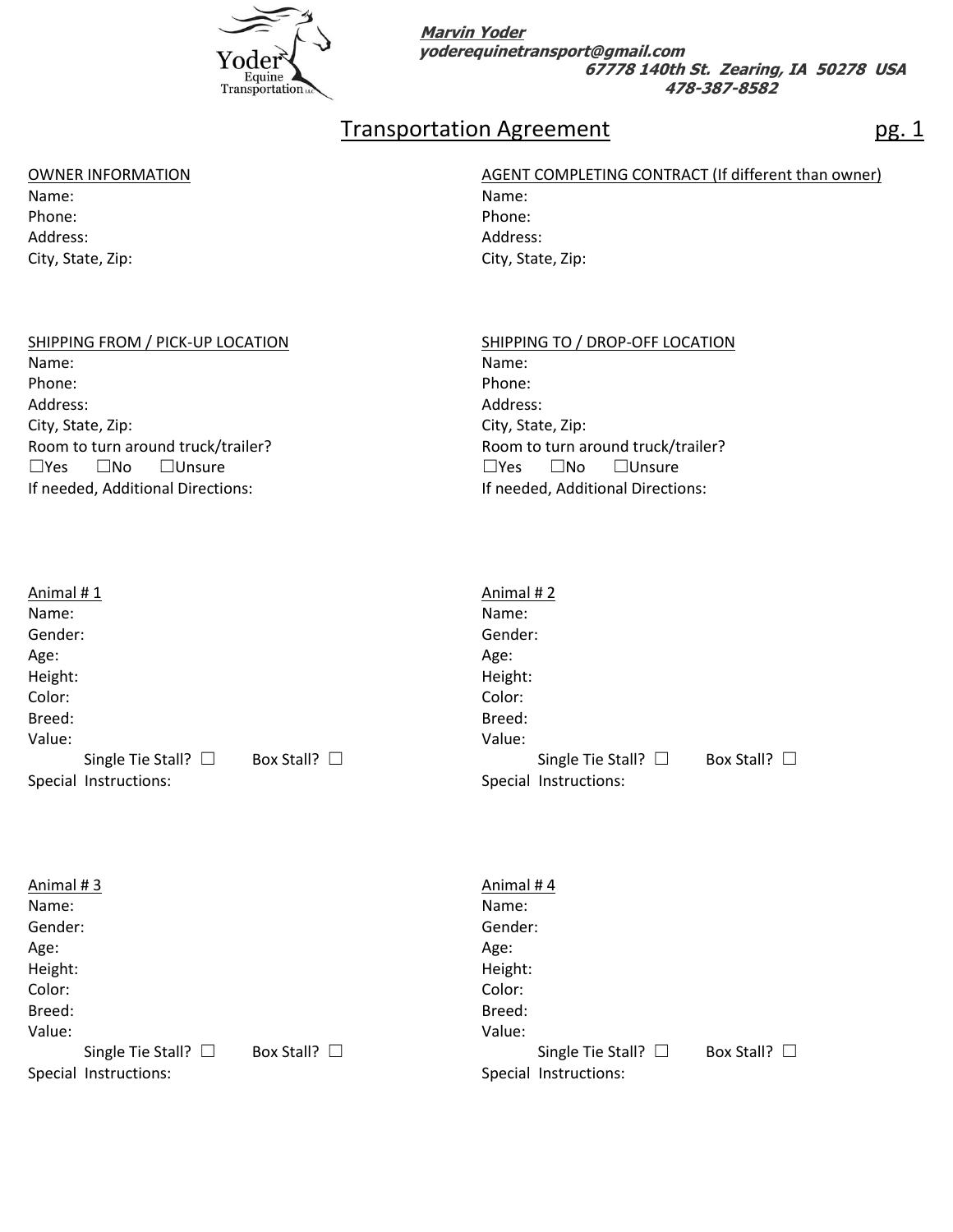

## **Transportation Agreement** pg. 1

#### OWNER INFORMATION

Name: Phone: Address: City, State, Zip:

#### SHIPPING FROM / PICK-UP LOCATION

Name: Phone: Address: City, State, Zip: Room to turn around truck/trailer? ☐ Yes ☐ No ☐ Unsure If needed, Additional Directions:

# AGENT COMPLETING CONTRACT (If different than owner)

Name: Phone: Address: City, State, Zip:

|          | SHIPPING TO / DROP-OFF LOCATION |
|----------|---------------------------------|
| Name:    |                                 |
| Phone:   |                                 |
| Address: |                                 |
|          |                                 |

City, State, Zip: Room to turn around truck/trailer? □Yes □No □Unsure If needed, Additional Directions:

| Animal # 1                  |                      | Animal #2                   |                      |
|-----------------------------|----------------------|-----------------------------|----------------------|
| Name:                       |                      | Name:                       |                      |
| Gender:                     |                      | Gender:                     |                      |
| Age:                        |                      | Age:                        |                      |
| Height:                     |                      | Height:                     |                      |
| Color:                      |                      | Color:                      |                      |
| Breed:                      |                      | Breed:                      |                      |
| Value:                      |                      | Value:                      |                      |
| Single Tie Stall? $\square$ | Box Stall? $\square$ | Single Tie Stall? $\square$ | Box Stall? $\square$ |
| Special Instructions:       |                      | Special Instructions:       |                      |
|                             |                      |                             |                      |

| <u>Animal #3</u>            |                      | Animal #4                   |                      |  |  |
|-----------------------------|----------------------|-----------------------------|----------------------|--|--|
| Name:                       |                      | Name:                       |                      |  |  |
| Gender:                     |                      | Gender:                     |                      |  |  |
| Age:                        |                      | Age:                        |                      |  |  |
| Height:                     |                      | Height:                     |                      |  |  |
| Color:                      |                      | Color:                      |                      |  |  |
| Breed:                      |                      | Breed:                      |                      |  |  |
| Value:                      |                      | Value:                      |                      |  |  |
| Single Tie Stall? $\square$ | Box Stall? $\square$ | Single Tie Stall? $\square$ | Box Stall? $\square$ |  |  |
| Special Instructions:       |                      | Special Instructions:       |                      |  |  |
|                             |                      |                             |                      |  |  |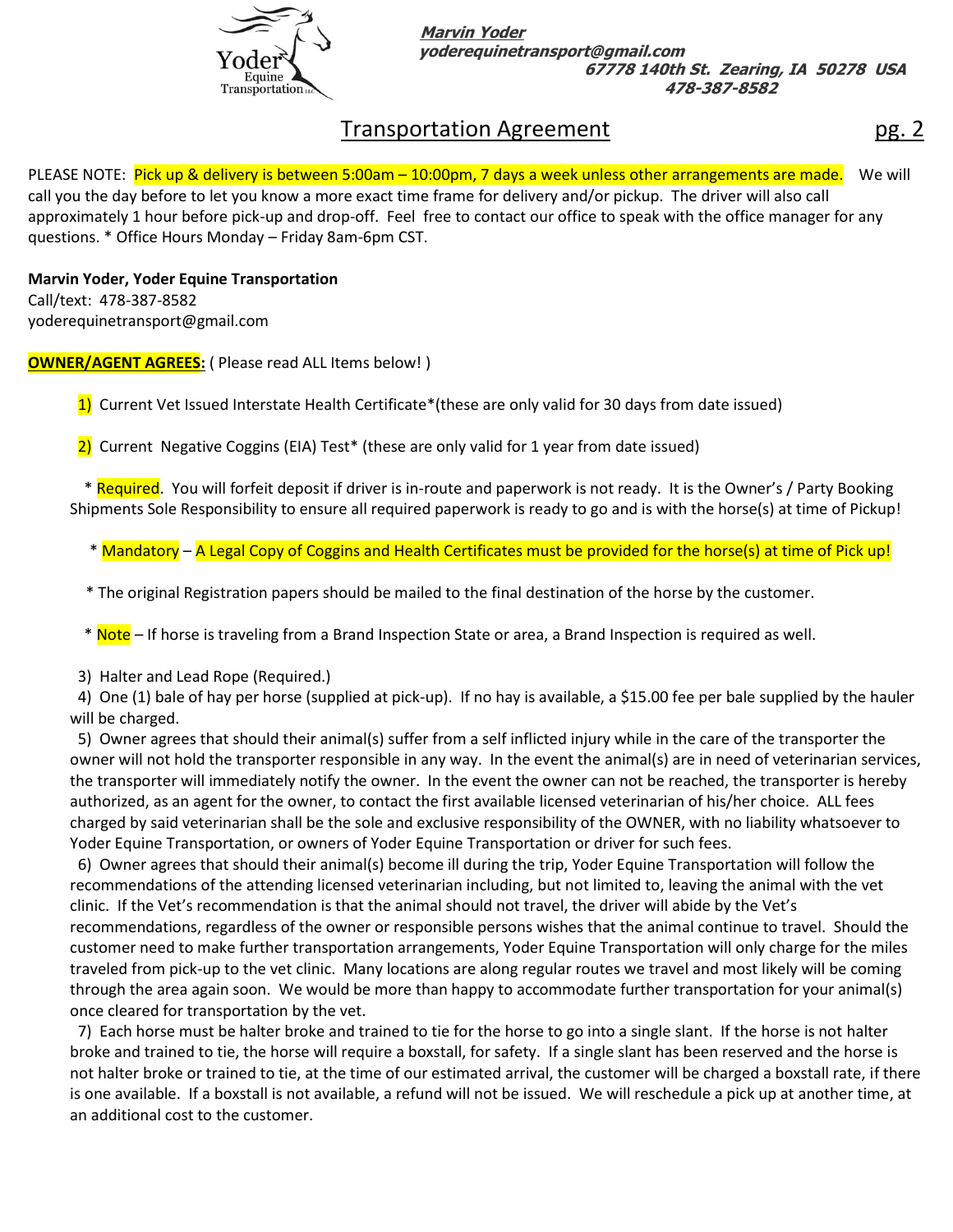

## Transportation Agreement pg. 2

PLEASE NOTE: Pick up & delivery is between 5:00am – 10:00pm, 7 days a week unless other arrangements are made. We will call you the day before to let you know a more exact time frame for delivery and/or pickup. The driver will also call approximately 1 hour before pick-up and drop-off. Feel free to contact our office to speak with the office manager for any questions. \* Office Hours Monday – Friday 8am-6pm CST.

**Marvin Yoder, Yoder Equine Transportation** Call/text: 478-387-8582 yoderequinetransport@gmail.com

**OWNER/AGENT AGREES:** ( Please read ALL Items below! )

1) Current Vet Issued Interstate Health Certificate\*(these are only valid for 30 days from date issued)

2) Current Negative Coggins (EIA) Test<sup>\*</sup> (these are only valid for 1 year from date issued)

\* Required. You will forfeit deposit if driver is in-route and paperwork is not ready. It is the Owner's / Party Booking Shipments Sole Responsibility to ensure all required paperwork is ready to go and is with the horse(s) at time of Pickup!

\* Mandatory – A Legal Copy of Coggins and Health Certificates must be provided for the horse(s) at time of Pick up!

\* The original Registration papers should be mailed to the final destination of the horse by the customer.

\* Note – If horse is traveling from a Brand Inspection State or area, a Brand Inspection is required as well.

3) Halter and Lead Rope (Required.)

4) One (1) bale of hay per horse (supplied at pick-up). If no hay is available, a \$15.00 fee per bale supplied by the hauler will be charged.

 5) Owner agrees that should their animal(s) suffer from a self inflicted injury while in the care of the transporter the owner will not hold the transporter responsible in any way. In the event the animal(s) are in need of veterinarian services, the transporter will immediately notify the owner. In the event the owner can not be reached, the transporter is hereby authorized, as an agent for the owner, to contact the first available licensed veterinarian of his/her choice. ALL fees charged by said veterinarian shall be the sole and exclusive responsibility of the OWNER, with no liability whatsoever to Yoder Equine Transportation, or owners of Yoder Equine Transportation or driver for such fees.

 6) Owner agrees that should their animal(s) become ill during the trip, Yoder Equine Transportation will follow the recommendations of the attending licensed veterinarian including, but not limited to, leaving the animal with the vet clinic. If the Vet's recommendation is that the animal should not travel, the driver will abide by the Vet's recommendations, regardless of the owner or responsible persons wishes that the animal continue to travel. Should the customer need to make further transportation arrangements, Yoder Equine Transportation will only charge for the miles traveled from pick-up to the vet clinic. Many locations are along regular routes we travel and most likely will be coming through the area again soon. We would be more than happy to accommodate further transportation for your animal(s) once cleared for transportation by the vet.

 7) Each horse must be halter broke and trained to tie for the horse to go into a single slant. If the horse is not halter broke and trained to tie, the horse will require a boxstall, for safety. If a single slant has been reserved and the horse is not halter broke or trained to tie, at the time of our estimated arrival, the customer will be charged a boxstall rate, if there is one available. If a boxstall is not available, a refund will not be issued. We will reschedule a pick up at another time, at an additional cost to the customer.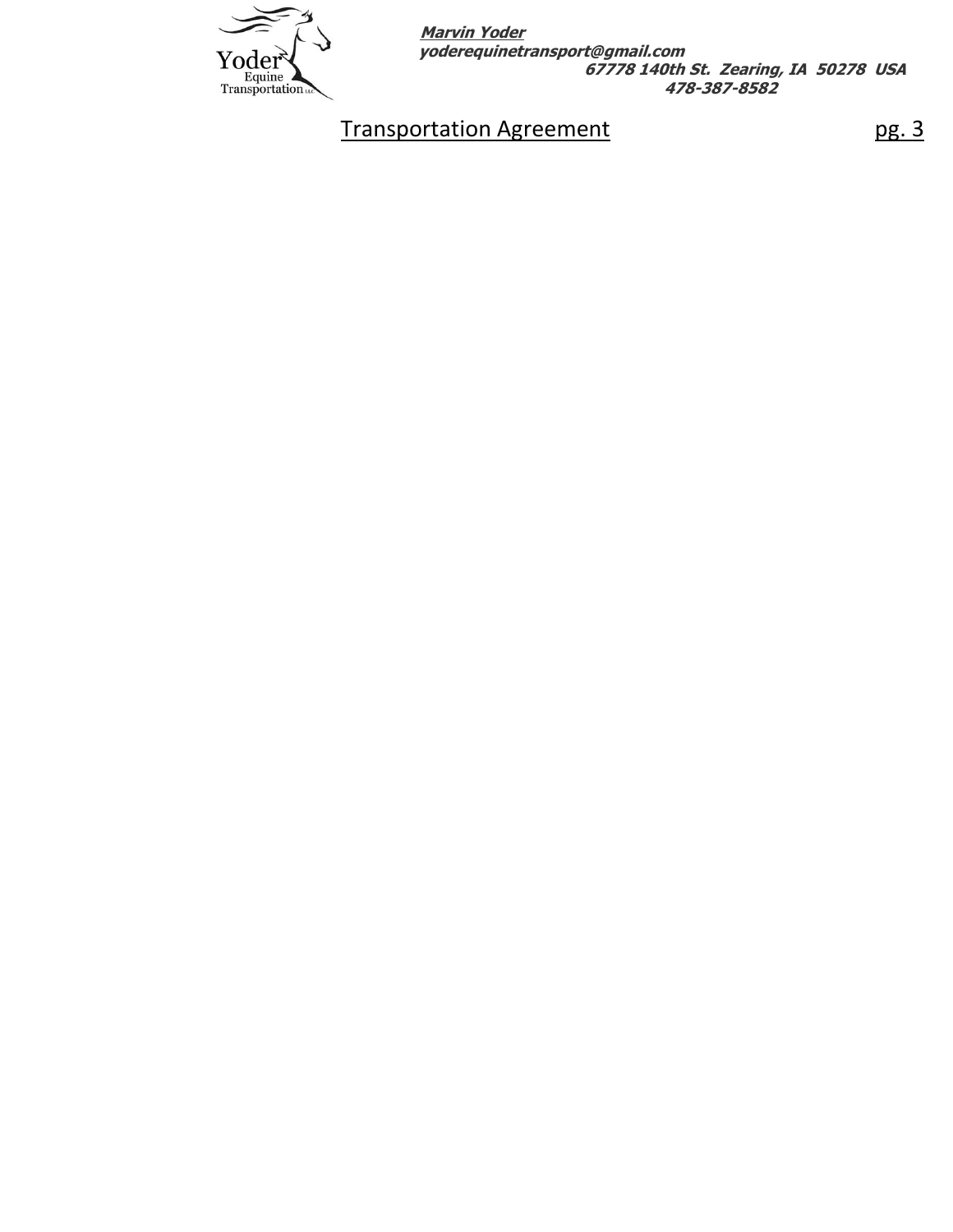

Transportation Agreement **pg. 3**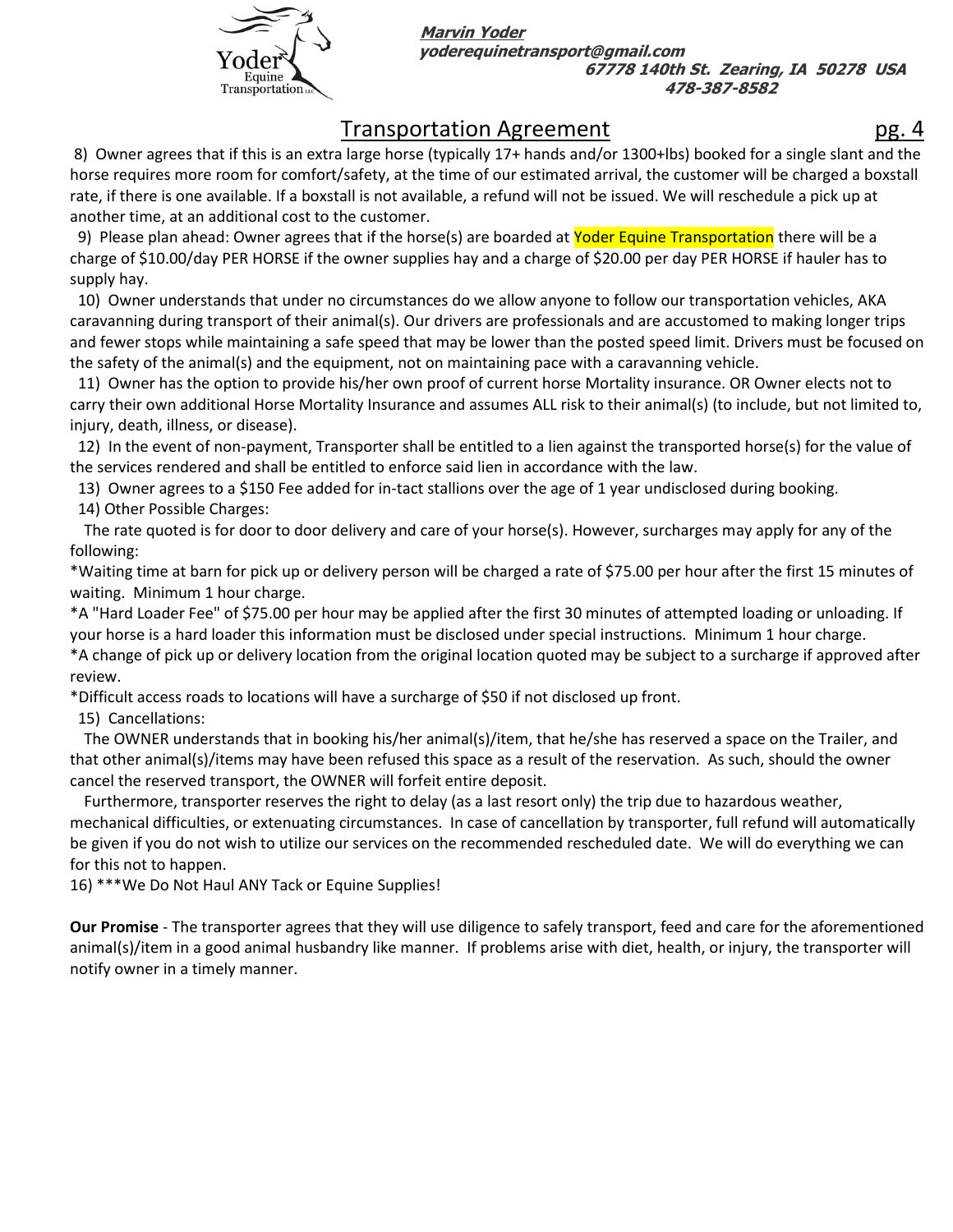

### **Marvin Yoder**

 **yoderequinetransport@gmail.com 67778 140th St. Zearing, IA 50278 USA 478-387-8582** 

# Transportation Agreement pg. 4

8) Owner agrees that if this is an extra large horse (typically 17+ hands and/or 1300+lbs) booked for a single slant and the horse requires more room for comfort/safety, at the time of our estimated arrival, the customer will be charged a boxstall rate, if there is one available. If a boxstall is not available, a refund will not be issued. We will reschedule a pick up at another time, at an additional cost to the customer.

9) Please plan ahead: Owner agrees that if the horse(s) are boarded at Yoder Equine Transportation there will be a charge of \$10.00/day PER HORSE if the owner supplies hay and a charge of \$20.00 per day PER HORSE if hauler has to supply hay.

 10) Owner understands that under no circumstances do we allow anyone to follow our transportation vehicles, AKA caravanning during transport of their animal(s). Our drivers are professionals and are accustomed to making longer trips and fewer stops while maintaining a safe speed that may be lower than the posted speed limit. Drivers must be focused on the safety of the animal(s) and the equipment, not on maintaining pace with a caravanning vehicle.

 11) Owner has the option to provide his/her own proof of current horse Mortality insurance. OR Owner elects not to carry their own additional Horse Mortality Insurance and assumes ALL risk to their animal(s) (to include, but not limited to, injury, death, illness, or disease).

12) In the event of non-payment, Transporter shall be entitled to a lien against the transported horse(s) for the value of the services rendered and shall be entitled to enforce said lien in accordance with the law.

13) Owner agrees to a \$150 Fee added for in-tact stallions over the age of 1 year undisclosed during booking.

14) Other Possible Charges:

The rate quoted is for door to door delivery and care of your horse(s). However, surcharges may apply for any of the following:

\*Waiting time at barn for pick up or delivery person will be charged a rate of \$75.00 per hour after the first 15 minutes of waiting. Minimum 1 hour charge.

\*A "Hard Loader Fee" of \$75.00 per hour may be applied after the first 30 minutes of attempted loading or unloading. If your horse is a hard loader this information must be disclosed under special instructions. Minimum 1 hour charge. \*A change of pick up or delivery location from the original location quoted may be subject to a surcharge if approved after review.

\*Difficult access roads to locations will have a surcharge of \$50 if not disclosed up front.

15) Cancellations:

The OWNER understands that in booking his/her animal(s)/item, that he/she has reserved a space on the Trailer, and that other animal(s)/items may have been refused this space as a result of the reservation. As such, should the owner cancel the reserved transport, the OWNER will forfeit entire deposit.

Furthermore, transporter reserves the right to delay (as a last resort only) the trip due to hazardous weather, mechanical difficulties, or extenuating circumstances. In case of cancellation by transporter, full refund will automatically be given if you do not wish to utilize our services on the recommended rescheduled date. We will do everything we can for this not to happen.

16) \*\*\*We Do Not Haul ANY Tack or Equine Supplies!

**Our Promise** - The transporter agrees that they will use diligence to safely transport, feed and care for the aforementioned animal(s)/item in a good animal husbandry like manner. If problems arise with diet, health, or injury, the transporter will notify owner in a timely manner.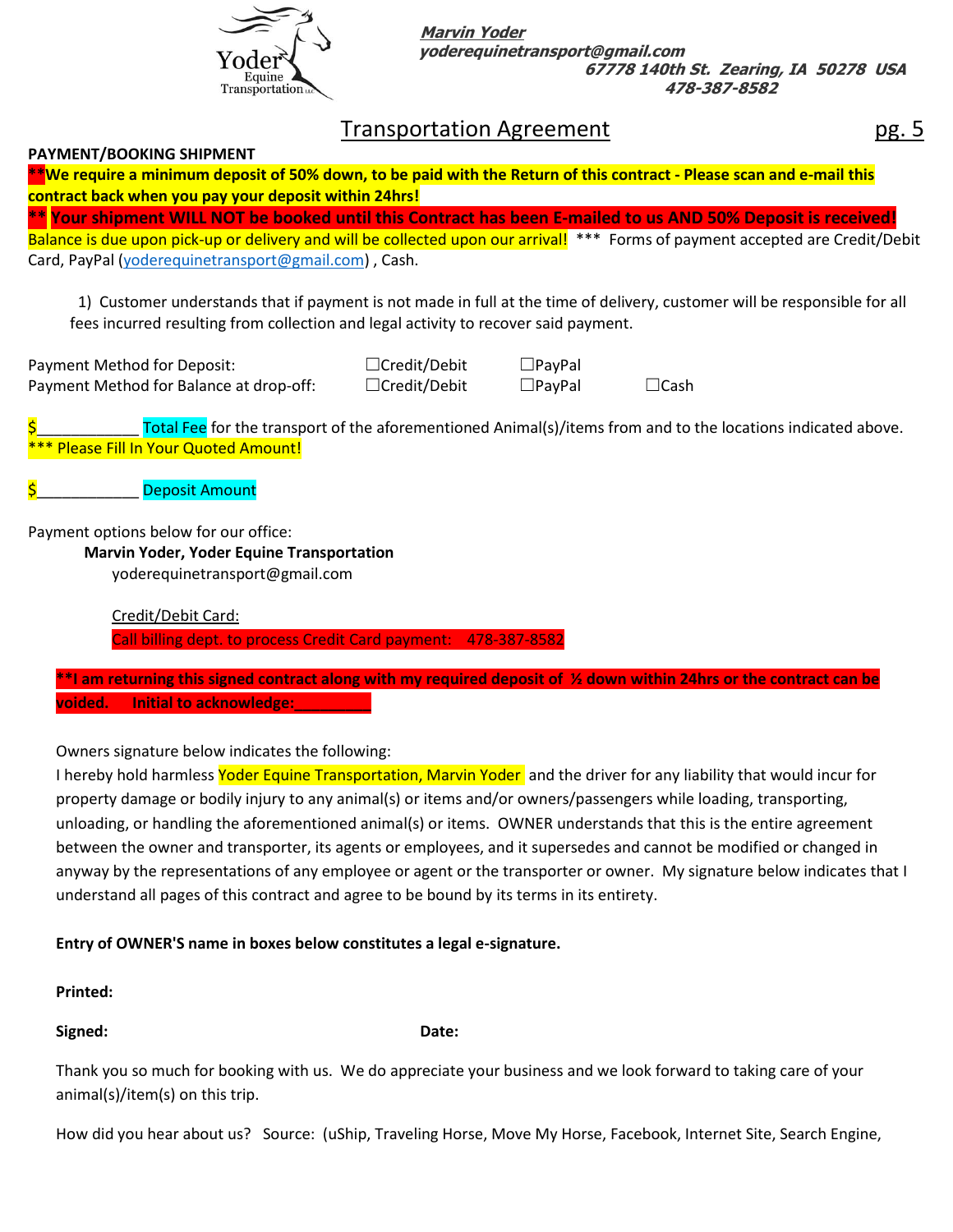

Transportation Agreement pg. 5

| PAYMENT/BOOKING SHIPMENT                                                                                                                                                                                         |                     |               |             |  |
|------------------------------------------------------------------------------------------------------------------------------------------------------------------------------------------------------------------|---------------------|---------------|-------------|--|
| **We require a minimum deposit of 50% down, to be paid with the Return of this contract - Please scan and e-mail this                                                                                            |                     |               |             |  |
| contract back when you pay your deposit within 24hrs!                                                                                                                                                            |                     |               |             |  |
| ** Your shipment WILL NOT be booked until this Contract has been E-mailed to us AND 50% Deposit is received!                                                                                                     |                     |               |             |  |
| Balance is due upon pick-up or delivery and will be collected upon our arrival! *** Forms of payment accepted are Credit/Debit                                                                                   |                     |               |             |  |
| Card, PayPal (yoderequinetransport@gmail.com), Cash.                                                                                                                                                             |                     |               |             |  |
| 1) Customer understands that if payment is not made in full at the time of delivery, customer will be responsible for all<br>fees incurred resulting from collection and legal activity to recover said payment. |                     |               |             |  |
| Payment Method for Deposit:                                                                                                                                                                                      | $\Box$ Credit/Debit | $\Box$ PayPal |             |  |
| Payment Method for Balance at drop-off:                                                                                                                                                                          | $\Box$ Credit/Debit | $\Box$ PayPal | $\Box$ Cash |  |
| *** Please Fill In Your Quoted Amount!<br>\$<br><b>Deposit Amount</b>                                                                                                                                            |                     |               |             |  |
| Payment options below for our office:                                                                                                                                                                            |                     |               |             |  |
| <b>Marvin Yoder, Yoder Equine Transportation</b>                                                                                                                                                                 |                     |               |             |  |
| yoderequinetransport@gmail.com                                                                                                                                                                                   |                     |               |             |  |
| Credit/Debit Card:                                                                                                                                                                                               |                     |               |             |  |
| Call billing dept. to process Credit Card payment: 478-387-8582                                                                                                                                                  |                     |               |             |  |
| **I am returning this signed contract along with my required deposit of % down within 24hrs or the contract can be<br>Initial to acknowledge:<br>voided.                                                         |                     |               |             |  |

Owners signature below indicates the following:

I hereby hold harmless Yoder Equine Transportation, Marvin Yoder and the driver for any liability that would incur for property damage or bodily injury to any animal(s) or items and/or owners/passengers while loading, transporting, unloading, or handling the aforementioned animal(s) or items. OWNER understands that this is the entire agreement between the owner and transporter, its agents or employees, and it supersedes and cannot be modified or changed in anyway by the representations of any employee or agent or the transporter or owner. My signature below indicates that I understand all pages of this contract and agree to be bound by its terms in its entirety.

### **Entry of OWNER'S name in boxes below constitutes a legal e-signature.**

**Signed: Date:**

Thank you so much for booking with us. We do appreciate your business and we look forward to taking care of your animal(s)/item(s) on this trip.

How did you hear about us? Source: (uShip, Traveling Horse, Move My Horse, Facebook, Internet Site, Search Engine,